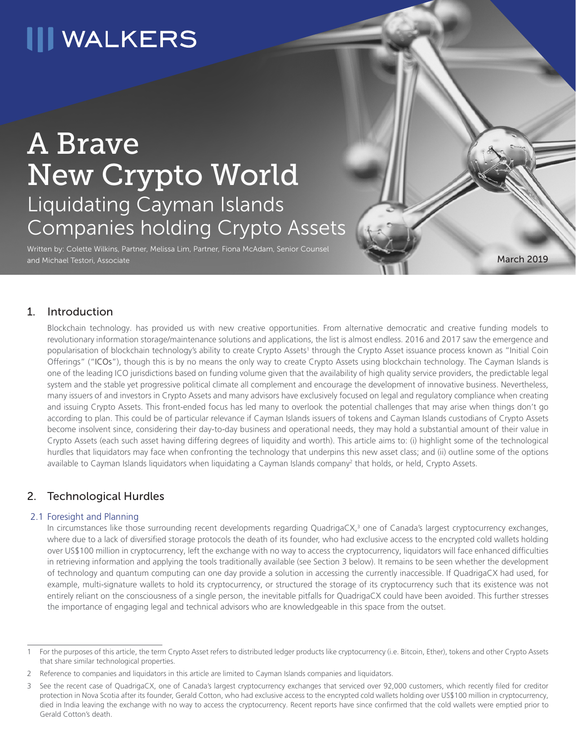# **III WALKERS**

## A Brave New Crypto World Liquidating Cayman Islands Companies holding Crypto Assets

Written by: Colette Wilkins, Partner, Melissa Lim, Partner, Fiona McAdam, Senior Counsel and Michael Testori, Associate

## 1. Introduction

Blockchain technology. has provided us with new creative opportunities. From alternative democratic and creative funding models to revolutionary information storage/maintenance solutions and applications, the list is almost endless. 2016 and 2017 saw the emergence and popularisation of blockchain technology's ability to create Crypto Assets<sup>1</sup> through the Crypto Asset issuance process known as "Initial Coin Offerings" ("ICOs"), though this is by no means the only way to create Crypto Assets using blockchain technology. The Cayman Islands is one of the leading ICO jurisdictions based on funding volume given that the availability of high quality service providers, the predictable legal system and the stable yet progressive political climate all complement and encourage the development of innovative business. Nevertheless, many issuers of and investors in Crypto Assets and many advisors have exclusively focused on legal and regulatory compliance when creating and issuing Crypto Assets. This front-ended focus has led many to overlook the potential challenges that may arise when things don't go according to plan. This could be of particular relevance if Cayman Islands issuers of tokens and Cayman Islands custodians of Crypto Assets become insolvent since, considering their day-to-day business and operational needs, they may hold a substantial amount of their value in Crypto Assets (each such asset having differing degrees of liquidity and worth). This article aims to: (i) highlight some of the technological hurdles that liquidators may face when confronting the technology that underpins this new asset class; and (ii) outline some of the options available to Cayman Islands liquidators when liquidating a Cayman Islands company<sup>2</sup> that holds, or held, Crypto Assets.

March 2019

## 2. Technological Hurdles

#### 2.1 Foresight and Planning

In circumstances like those surrounding recent developments regarding QuadrigaCX,<sup>3</sup> one of Canada's largest cryptocurrency exchanges, where due to a lack of diversified storage protocols the death of its founder, who had exclusive access to the encrypted cold wallets holding over US\$100 million in cryptocurrency, left the exchange with no way to access the cryptocurrency, liquidators will face enhanced difficulties in retrieving information and applying the tools traditionally available (see Section 3 below). It remains to be seen whether the development of technology and quantum computing can one day provide a solution in accessing the currently inaccessible. If QuadrigaCX had used, for example, multi-signature wallets to hold its cryptocurrency, or structured the storage of its cryptocurrency such that its existence was not entirely reliant on the consciousness of a single person, the inevitable pitfalls for QuadrigaCX could have been avoided. This further stresses the importance of engaging legal and technical advisors who are knowledgeable in this space from the outset.

For the purposes of this article, the term Crypto Asset refers to distributed ledger products like cryptocurrency (i.e. Bitcoin, Ether), tokens and other Crypto Assets that share similar technological properties.

<sup>2</sup> Reference to companies and liquidators in this article are limited to Cayman Islands companies and liquidators.

<sup>3</sup> See the recent case of QuadrigaCX, one of Canada's largest cryptocurrency exchanges that serviced over 92,000 customers, which recently filed for creditor protection in Nova Scotia after its founder, Gerald Cotton, who had exclusive access to the encrypted cold wallets holding over US\$100 million in cryptocurrency, died in India leaving the exchange with no way to access the cryptocurrency. Recent reports have since confirmed that the cold wallets were emptied prior to Gerald Cotton's death.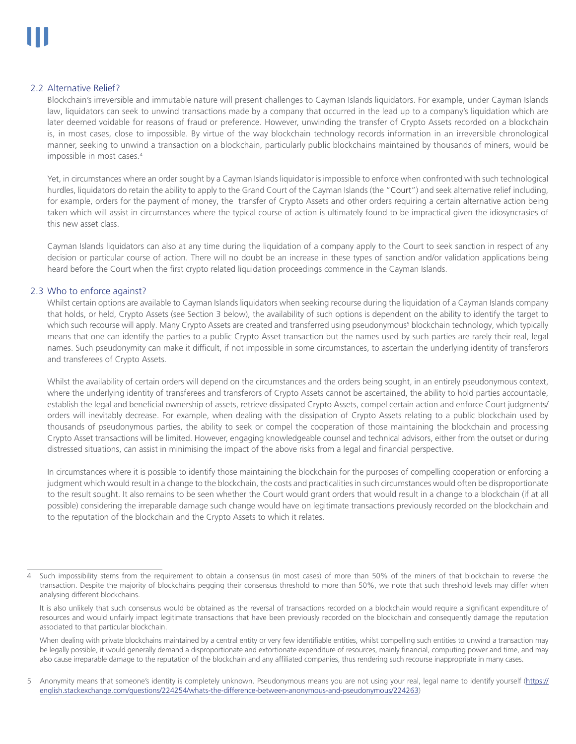#### 2.2 Alternative Relief?

Blockchain's irreversible and immutable nature will present challenges to Cayman Islands liquidators. For example, under Cayman Islands law, liquidators can seek to unwind transactions made by a company that occurred in the lead up to a company's liquidation which are later deemed voidable for reasons of fraud or preference. However, unwinding the transfer of Crypto Assets recorded on a blockchain is, in most cases, close to impossible. By virtue of the way blockchain technology records information in an irreversible chronological manner, seeking to unwind a transaction on a blockchain, particularly public blockchains maintained by thousands of miners, would be impossible in most cases.4

Yet, in circumstances where an order sought by a Cayman Islands liquidator is impossible to enforce when confronted with such technological hurdles, liquidators do retain the ability to apply to the Grand Court of the Cayman Islands (the "Court") and seek alternative relief including, for example, orders for the payment of money, the transfer of Crypto Assets and other orders requiring a certain alternative action being taken which will assist in circumstances where the typical course of action is ultimately found to be impractical given the idiosyncrasies of this new asset class.

Cayman Islands liquidators can also at any time during the liquidation of a company apply to the Court to seek sanction in respect of any decision or particular course of action. There will no doubt be an increase in these types of sanction and/or validation applications being heard before the Court when the first crypto related liquidation proceedings commence in the Cayman Islands.

#### 2.3 Who to enforce against?

Whilst certain options are available to Cayman Islands liquidators when seeking recourse during the liquidation of a Cayman Islands company that holds, or held, Crypto Assets (see Section 3 below), the availability of such options is dependent on the ability to identify the target to which such recourse will apply. Many Crypto Assets are created and transferred using pseudonymous<sup>5</sup> blockchain technology, which typically means that one can identify the parties to a public Crypto Asset transaction but the names used by such parties are rarely their real, legal names. Such pseudonymity can make it difficult, if not impossible in some circumstances, to ascertain the underlying identity of transferors and transferees of Crypto Assets.

Whilst the availability of certain orders will depend on the circumstances and the orders being sought, in an entirely pseudonymous context, where the underlying identity of transferees and transferors of Crypto Assets cannot be ascertained, the ability to hold parties accountable, establish the legal and beneficial ownership of assets, retrieve dissipated Crypto Assets, compel certain action and enforce Court judgments/ orders will inevitably decrease. For example, when dealing with the dissipation of Crypto Assets relating to a public blockchain used by thousands of pseudonymous parties, the ability to seek or compel the cooperation of those maintaining the blockchain and processing Crypto Asset transactions will be limited. However, engaging knowledgeable counsel and technical advisors, either from the outset or during distressed situations, can assist in minimising the impact of the above risks from a legal and financial perspective.

In circumstances where it is possible to identify those maintaining the blockchain for the purposes of compelling cooperation or enforcing a judgment which would result in a change to the blockchain, the costs and practicalities in such circumstances would often be disproportionate to the result sought. It also remains to be seen whether the Court would grant orders that would result in a change to a blockchain (if at all possible) considering the irreparable damage such change would have on legitimate transactions previously recorded on the blockchain and to the reputation of the blockchain and the Crypto Assets to which it relates.

When dealing with private blockchains maintained by a central entity or very few identifiable entities, whilst compelling such entities to unwind a transaction may be legally possible, it would generally demand a disproportionate and extortionate expenditure of resources, mainly financial, computing power and time, and may also cause irreparable damage to the reputation of the blockchain and any affiliated companies, thus rendering such recourse inappropriate in many cases.

5 Anonymity means that someone's identity is completely unknown. Pseudonymous means you are not using your real, legal name to identify yourself (https:// english.stackexchange.com/questions/224254/whats-the-difference-between-anonymous-and-pseudonymous/224263)

Such impossibility stems from the requirement to obtain a consensus (in most cases) of more than 50% of the miners of that blockchain to reverse the transaction. Despite the majority of blockchains pegging their consensus threshold to more than 50%, we note that such threshold levels may differ when analysing different blockchains.

It is also unlikely that such consensus would be obtained as the reversal of transactions recorded on a blockchain would require a significant expenditure of resources and would unfairly impact legitimate transactions that have been previously recorded on the blockchain and consequently damage the reputation associated to that particular blockchain.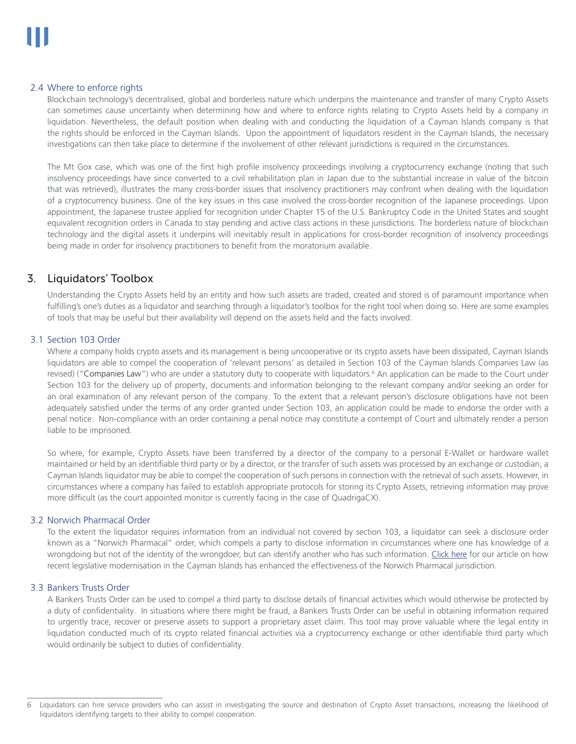#### 2.4 Where to enforce rights

Blockchain technology's decentralised, global and borderless nature which underpins the maintenance and transfer of many Crypto Assets can sometimes cause uncertainty when determining how and where to enforce rights relating to Crypto Assets held by a company in liquidation. Nevertheless, the default position when dealing with and conducting the liquidation of a Cayman Islands company is that the rights should be enforced in the Cayman Islands. Upon the appointment of liquidators resident in the Cayman Islands, the necessary investigations can then take place to determine if the involvement of other relevant jurisdictions is required in the circumstances.

The Mt Gox case, which was one of the first high profile insolvency proceedings involving a cryptocurrency exchange (noting that such insolvency proceedings have since converted to a civil rehabilitation plan in Japan due to the substantial increase in value of the bitcoin that was retrieved), illustrates the many cross-border issues that insolvency practitioners may confront when dealing with the liquidation of a cryptocurrency business. One of the key issues in this case involved the cross-border recognition of the Japanese proceedings. Upon appointment, the Japanese trustee applied for recognition under Chapter 15 of the U.S. Bankruptcy Code in the United States and sought equivalent recognition orders in Canada to stay pending and active class actions in these jurisdictions. The borderless nature of blockchain technology and the digital assets it underpins will inevitably result in applications for cross-border recognition of insolvency proceedings being made in order for insolvency practitioners to benefit from the moratorium available.

### 3. Liquidators' Toolbox

Understanding the Crypto Assets held by an entity and how such assets are traded, created and stored is of paramount importance when fulfilling's one's duties as a liquidator and searching through a liquidator's toolbox for the right tool when doing so. Here are some examples of tools that may be useful but their availability will depend on the assets held and the facts involved:

#### 3.1 Section 103 Order

Where a company holds crypto assets and its management is being uncooperative or its crypto assets have been dissipated, Cayman Islands liquidators are able to compel the cooperation of 'relevant persons' as detailed in Section 103 of the Cayman Islands Companies Law (as revised) ("Companies Law") who are under a statutory duty to cooperate with liquidators.<sup>6</sup> An application can be made to the Court under Section 103 for the delivery up of property, documents and information belonging to the relevant company and/or seeking an order for an oral examination of any relevant person of the company. To the extent that a relevant person's disclosure obligations have not been adequately satisfied under the terms of any order granted under Section 103, an application could be made to endorse the order with a penal notice. Non-compliance with an order containing a penal notice may constitute a contempt of Court and ultimately render a person liable to be imprisoned.

So where, for example, Crypto Assets have been transferred by a director of the company to a personal E-Wallet or hardware wallet maintained or held by an identifiable third party or by a director, or the transfer of such assets was processed by an exchange or custodian, a Cayman Islands liquidator may be able to compel the cooperation of such persons in connection with the retrieval of such assets. However, in circumstances where a company has failed to establish appropriate protocols for storing its Crypto Assets, retrieving information may prove more difficult (as the court appointed monitor is currently facing in the case of QuadrigaCX).

#### 3.2 Norwich Pharmacal Order

To the extent the liquidator requires information from an individual not covered by section 103, a liquidator can seek a disclosure order known as a "Norwich Pharmacal" order, which compels a party to disclose information in circumstances where one has knowledge of a wrongdoing but not of the identity of the wrongdoer, but can identify another who has such information. [Click here](https://www.walkersglobal.com/index.php/publications/101-news/1347-norwich-pharmacal-relief-obtaining-documents-to-assist-in-the-enforcement-of-a-foreign-arbitral-award) for our article on how recent legislative modernisation in the Cayman Islands has enhanced the effectiveness of the Norwich Pharmacal jurisdiction.

#### 3.3 Bankers Trusts Order

A Bankers Trusts Order can be used to compel a third party to disclose details of financial activities which would otherwise be protected by a duty of confidentiality. In situations where there might be fraud, a Bankers Trusts Order can be useful in obtaining information required to urgently trace, recover or preserve assets to support a proprietary asset claim. This tool may prove valuable where the legal entity in liquidation conducted much of its crypto related financial activities via a cryptocurrency exchange or other identifiable third party which would ordinarily be subject to duties of confidentiality.

<sup>6</sup> Liquidators can hire service providers who can assist in investigating the source and destination of Crypto Asset transactions, increasing the likelihood of liquidators identifying targets to their ability to compel cooperation.